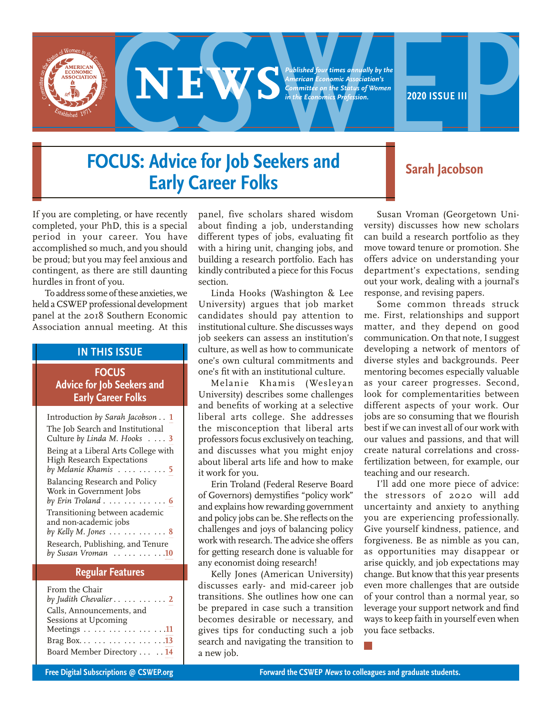**EXPERIENCE ON BUSISTICES**<br> **2020 ISSUE III**<br> **2020 ISSUE III**<br> **2020 ISSUE III**<br> **2020 ISSUE III**<br> **2020 ISSUE III**<br> **2020 ISSUE III** *Published four times annually by the American Economic Association's Committee on the Status of Women in the Economics Profession.*

# **FOCUS: Advice for Job Seekers and Early Career Folks Early Career Folks**

If you are completing, or have recently completed, your PhD, this is a special period in your career. You have accomplished so much, and you should be proud; but you may feel anxious and contingent, as there are still daunting hurdles in front of you.

To address some of these anxieties, we held a CSWEP professional development panel at the 2018 Southern Economic Association annual meeting. At this

# **IN THIS ISSUE**

# **FOCUS Advice for Job Seekers and Early Career Folks**

| Introduction by Sarah Jacobson 1                                                                                 |
|------------------------------------------------------------------------------------------------------------------|
| The Job Search and Institutional<br>Culture by Linda M. Hooks 3                                                  |
| Being at a Liberal Arts College with<br>High Research Expectations<br>by Melanie Khamis $\ldots \ldots \ldots 5$ |
| Balancing Research and Policy<br>Work in Government Jobs<br>by Erin Troland $\ldots \ldots \ldots \ldots 6$      |
| Transitioning between academic<br>and non-academic jobs<br>by Kelly M. Jones $\ldots \ldots \ldots \ldots 8$     |
| Research, Publishing, and Tenure<br>by Susan Vroman 10                                                           |

# **Regular Features**

| From the Chair                               |
|----------------------------------------------|
| by Judith Chevalier $\ldots \ldots \ldots 2$ |
| Calls, Announcements, and                    |
| Sessions at Upcoming                         |
| Meetings 11                                  |
|                                              |
| Board Member Directory  . 14                 |
|                                              |

panel, five scholars shared wisdom about finding a job, understanding different types of jobs, evaluating fit with a hiring unit, changing jobs, and building a research portfolio. Each has kindly contributed a piece for this Focus section.

Linda Hooks (Washington & Lee University) argues that job market candidates should pay attention to institutional culture. She discusses ways job seekers can assess an institution's culture, as well as how to communicate one's own cultural commitments and one's fit with an institutional culture.

Melanie Khamis (Wesleyan University) describes some challenges and benefits of working at a selective liberal arts college. She addresses the misconception that liberal arts professors focus exclusively on teaching, and discusses what you might enjoy about liberal arts life and how to make it work for you.

Erin Troland (Federal Reserve Board of Governors) demystifies "policy work" and explains how rewarding government and policy jobs can be. She reflects on the challenges and joys of balancing policy work with research. The advice she offers for getting research done is valuable for any economist doing research!

Kelly Jones (American University) discusses early- and mid-career job transitions. She outlines how one can be prepared in case such a transition becomes desirable or necessary, and gives tips for conducting such a job search and navigating the transition to a new job.

Susan Vroman (Georgetown University) discusses how new scholars can build a research portfolio as they move toward tenure or promotion. She offers advice on understanding your department's expectations, sending out your work, dealing with a journal's response, and revising papers.

Some common threads struck me. First, relationships and support matter, and they depend on good communication. On that note, I suggest developing a network of mentors of diverse styles and backgrounds. Peer mentoring becomes especially valuable as your career progresses. Second, look for complementarities between different aspects of your work. Our jobs are so consuming that we flourish best if we can invest all of our work with our values and passions, and that will create natural correlations and crossfertilization between, for example, our teaching and our research.

I'll add one more piece of advice: the stressors of 2020 will add uncertainty and anxiety to anything you are experiencing professionally. Give yourself kindness, patience, and forgiveness. Be as nimble as you can, as opportunities may disappear or arise quickly, and job expectations may change. But know that this year presents even more challenges that are outside of your control than a normal year, so leverage your support network and find ways to keep faith in yourself even when you face setbacks.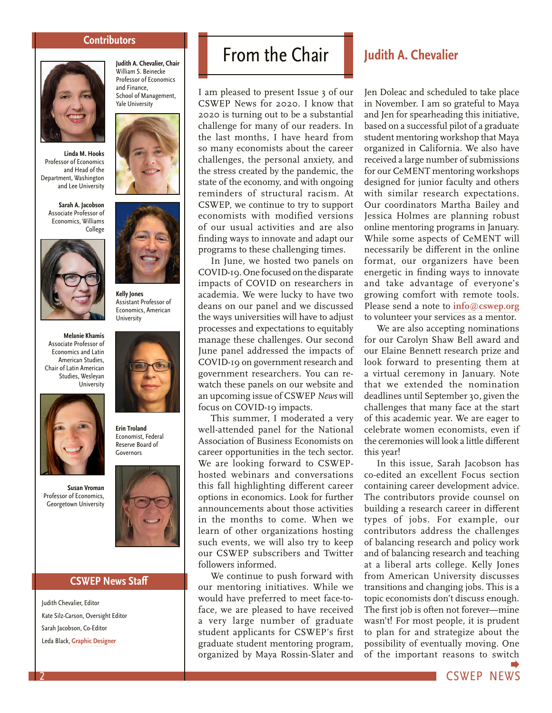#### **Contributors**

**Judith A. Chevalier, Chair**  William S. Beinecke Professor of Economics and Finance, School of Management, Yale University

<span id="page-1-0"></span>

**Linda M. Hooks** Professor of Economics and Head of the Department, Washington and Lee University

**Sarah A. Jacobson** Associate Professor of Economics, Williams College



**Melanie Khamis** Associate Professor of Economics and Latin American Studies, Chair of Latin American Studies, Wesleyan **University** 



**Susan Vroman** Professor of Economics, Georgetown University





**Erin Troland** Economist, Federal Reserve Board of Governors



## **CSWEP News Staff**

Judith Chevalier, Editor Kate Silz-Carson, Oversight Editor Sarah Jacobson, Co-Editor Leda Black, **[Graphic Designer](https://www.ledablack.com)**

# From the Chair **Judith A. Chevalier**

I am pleased to present Issue 3 of our CSWEP News for 2020. I know that 2020 is turning out to be a substantial challenge for many of our readers. In the last months, I have heard from so many economists about the career challenges, the personal anxiety, and the stress created by the pandemic, the state of the economy, and with ongoing reminders of structural racism. At CSWEP, we continue to try to support economists with modified versions of our usual activities and are also finding ways to innovate and adapt our programs to these challenging times.

In June, we hosted two panels on COVID-19. One focused on the disparate impacts of COVID on researchers in academia. We were lucky to have two deans on our panel and we discussed the ways universities will have to adjust processes and expectations to equitably manage these challenges. Our second June panel addressed the impacts of COVID-19 on government research and government researchers. You can rewatch these panels on our website and an upcoming issue of CSWEP *News* will focus on COVID-19 impacts.

This summer, I moderated a very well-attended panel for the National Association of Business Economists on career opportunities in the tech sector. We are looking forward to CSWEPhosted webinars and conversations this fall highlighting different career options in economics. Look for further announcements about those activities in the months to come. When we learn of other organizations hosting such events, we will also try to keep our CSWEP subscribers and Twitter followers informed.

We continue to push forward with our mentoring initiatives. While we would have preferred to meet face-toface, we are pleased to have received a very large number of graduate student applicants for CSWEP's first graduate student mentoring program, organized by Maya Rossin-Slater and

Jen Doleac and scheduled to take place in November. I am so grateful to Maya and Jen for spearheading this initiative, based on a successful pilot of a graduate student mentoring workshop that Maya organized in California. We also have received a large number of submissions for our CeMENT mentoring workshops designed for junior faculty and others with similar research expectations. Our coordinators Martha Bailey and Jessica Holmes are planning robust online mentoring programs in January. While some aspects of CeMENT will necessarily be different in the online format, our organizers have been energetic in finding ways to innovate and take advantage of everyone's growing comfort with remote tools. Please send a note to **[info@cswep.org](mailto:info@cswep.org)**  to volunteer your services as a mentor.

We are also accepting nominations for our Carolyn Shaw Bell award and our Elaine Bennett research prize and look forward to presenting them at a virtual ceremony in January. Note that we extended the nomination deadlines until September 30, given the challenges that many face at the start of this academic year. We are eager to celebrate women economists, even if the ceremonies will look a little different this year!

In this issue, Sarah Jacobson has co-edited an excellent Focus section containing career development advice. The contributors provide counsel on building a research career in different types of jobs. For example, our contributors address the challenges of balancing research and policy work and of balancing research and teaching at a liberal arts college. Kelly Jones from American University discusses transitions and changing jobs. This is a topic economists don't discuss enough. The first job is often not forever—mine wasn't! For most people, it is prudent to plan for and strategize about the possibility of eventually moving. One of the important reasons to swi[tch](#page-2-0) 

CSWEP NEWS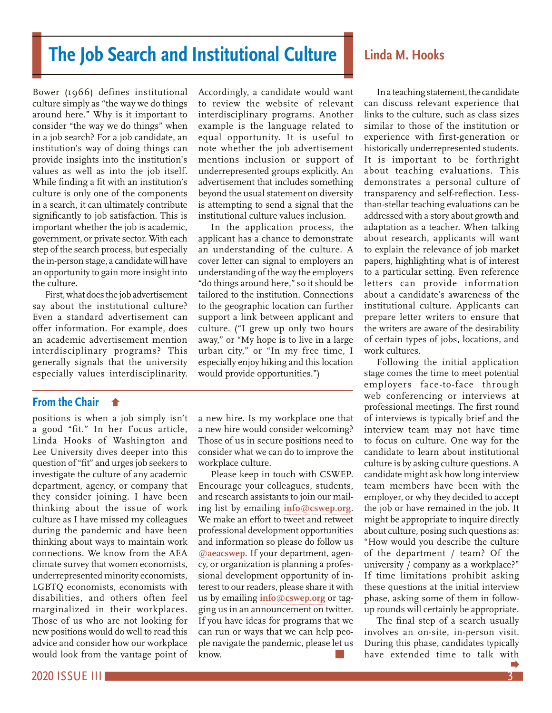# <span id="page-2-0"></span>**The Job Search and Institutional Culture**

Bower (1966) defines institutional culture simply as "the way we do things around here." Why is it important to consider "the way we do things" when in a job search? For a job candidate, an institution's way of doing things can provide insights into the institution's values as well as into the job itself. While finding a fit with an institution's culture is only one of the components in a search, it can ultimately contribute significantly to job satisfaction. This is important whether the job is academic, government, or private sector. With each step of the search process, but especially the in-person stage, a candidate will have an opportunity to gain more insight into the culture.

First, what does the job advertisement say about the institutional culture? Even a standard advertisement can offer information. For example, does an academic advertisement mention interdisciplinary programs? This generally signals that the university especially values interdisciplinarity.

# **From the Chair**

[positions is when a job simply isn't](#page-1-0)  a good "fit." In her Focus article, Linda Hooks of Washington and Lee University dives deeper into this question of "fit" and urges job seekers to investigate the culture of any academic department, agency, or company that they consider joining. I have been thinking about the issue of work culture as I have missed my colleagues during the pandemic and have been thinking about ways to maintain work connections. We know from the AEA climate survey that women economists, underrepresented minority economists, LGBTQ economists, economists with disabilities, and others often feel marginalized in their workplaces. Those of us who are not looking for new positions would do well to read this advice and consider how our workplace would look from the vantage point of Accordingly, a candidate would want to review the website of relevant interdisciplinary programs. Another example is the language related to equal opportunity. It is useful to note whether the job advertisement mentions inclusion or support of underrepresented groups explicitly. An advertisement that includes something beyond the usual statement on diversity is attempting to send a signal that the institutional culture values inclusion.

In the application process, the applicant has a chance to demonstrate an understanding of the culture. A cover letter can signal to employers an understanding of the way the employers "do things around here," so it should be tailored to the institution. Connections to the geographic location can further support a link between applicant and culture. ("I grew up only two hours away," or "My hope is to live in a large urban city," or "In my free time, I especially enjoy hiking and this location would provide opportunities.")

a new hire. Is my workplace one that a new hire would consider welcoming? Those of us in secure positions need to consider what we can do to improve the workplace culture.

Please keep in touch with CSWEP. Encourage your colleagues, students, and research assistants to join our mailing list by emailing **[info@cswep.org](mailto:info@cswep.org)**. We make an effort to tweet and retweet professional development opportunities and information so please do follow us **[@aeacswep](https://twitter.com/AEACSWEP)**. If your department, agency, or organization is planning a professional development opportunity of interest to our readers, please share it with us by emailing **[info@cswep.org](mailto:info@cswep.org)** or tagging us in an announcement on twitter. If you have ideas for programs that we can run or ways that we can help people navigate the pandemic, please let us know.

# **Linda M. Hooks**

In a teaching statement, the candidate can discuss relevant experience that links to the culture, such as class sizes similar to those of the institution or experience with first-generation or historically underrepresented students. It is important to be forthright about teaching evaluations. This demonstrates a personal culture of transparency and self-reflection. Lessthan-stellar teaching evaluations can be addressed with a story about growth and adaptation as a teacher. When talking about research, applicants will want to explain the relevance of job market papers, highlighting what is of interest to a particular setting. Even reference letters can provide information about a candidate's awareness of the institutional culture. Applicants can prepare letter writers to ensure that the writers are aware of the desirability of certain types of jobs, locations, and work cultures.

Following the initial application stage comes the time to meet potential employers face-to-face through web conferencing or interviews at professional meetings. The first round of interviews is typically brief and the interview team may not have time to focus on culture. One way for the candidate to learn about institutional culture is by asking culture questions. A candidate might ask how long interview team members have been with the employer, or why they decided to accept the job or have remained in the job. It might be appropriate to inquire directly about culture, posing such questions as: "How would you describe the culture of the department / team? Of the university / company as a workplace?" If time limitations prohibit asking these questions at the initial interview phase, asking some of them in followup rounds will certainly be appropriate.

The final step of a search usually involves an on-site, in-person visit. During this phase, candidates typically have extended time to talk w[ith](#page-3-0)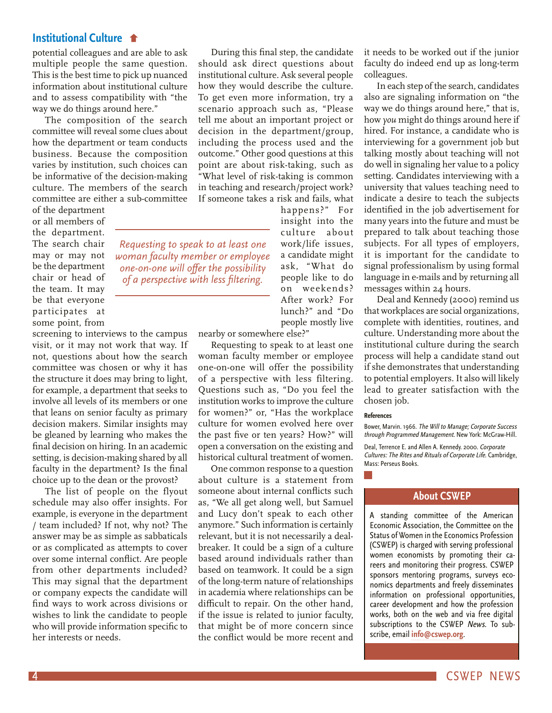# <span id="page-3-0"></span>**[Institutional Culture](#page-2-0)**

potential colleagues and are able to ask multiple people the same question. This is the best time to pick up nuanced information about institutional culture and to assess compatibility with "the way we do things around here."

The composition of the search committee will reveal some clues about how the department or team conducts business. Because the composition varies by institution, such choices can be informative of the decision-making culture. The members of the search committee are either a sub-committee

of the department or all members of the department. The search chair may or may not be the department chair or head of the team. It may be that everyone participates at some point, from

screening to interviews to the campus visit, or it may not work that way. If not, questions about how the search committee was chosen or why it has the structure it does may bring to light, for example, a department that seeks to involve all levels of its members or one that leans on senior faculty as primary decision makers. Similar insights may be gleaned by learning who makes the final decision on hiring. In an academic setting, is decision-making shared by all faculty in the department? Is the final choice up to the dean or the provost?

The list of people on the flyout schedule may also offer insights. For example, is everyone in the department / team included? If not, why not? The answer may be as simple as sabbaticals or as complicated as attempts to cover over some internal conflict. Are people from other departments included? This may signal that the department or company expects the candidate will find ways to work across divisions or wishes to link the candidate to people who will provide information specific to her interests or needs.

During this final step, the candidate should ask direct questions about institutional culture. Ask several people how they would describe the culture. To get even more information, try a scenario approach such as, "Please tell me about an important project or decision in the department/group, including the process used and the outcome." Other good questions at this point are about risk-taking, such as "What level of risk-taking is common in teaching and research/project work? If someone takes a risk and fails, what

> happens?" For insight into the culture about work/life issues, a candidate might ask, "What do people like to do on weekends? After work? For lunch?" and "Do people mostly live

nearby or somewhere else?"

*Requesting to speak to at least one woman faculty member or employee one-on-one will offer the possibility of a perspective with less filtering.* 

> Requesting to speak to at least one woman faculty member or employee one-on-one will offer the possibility of a perspective with less filtering. Questions such as, "Do you feel the institution works to improve the culture for women?" or, "Has the workplace culture for women evolved here over the past five or ten years? How?" will open a conversation on the existing and historical cultural treatment of women.

> One common response to a question about culture is a statement from someone about internal conflicts such as, "We all get along well, but Samuel and Lucy don't speak to each other anymore." Such information is certainly relevant, but it is not necessarily a dealbreaker. It could be a sign of a culture based around individuals rather than based on teamwork. It could be a sign of the long-term nature of relationships in academia where relationships can be difficult to repair. On the other hand, if the issue is related to junior faculty, that might be of more concern since the conflict would be more recent and

it needs to be worked out if the junior faculty do indeed end up as long-term colleagues.

In each step of the search, candidates also are signaling information on "the way we do things around here," that is, how *you* might do things around here if hired. For instance, a candidate who is interviewing for a government job but talking mostly about teaching will not do well in signaling her value to a policy setting. Candidates interviewing with a university that values teaching need to indicate a desire to teach the subjects identified in the job advertisement for many years into the future and must be prepared to talk about teaching those subjects. For all types of employers, it is important for the candidate to signal professionalism by using formal language in e-mails and by returning all messages within 24 hours.

Deal and Kennedy (2000) remind us that workplaces are social organizations, complete with identities, routines, and culture. Understanding more about the institutional culture during the search process will help a candidate stand out if she demonstrates that understanding to potential employers. It also will likely lead to greater satisfaction with the chosen job.

#### **References**

Bower, Marvin. 1966. The Will to Manage; Corporate Success through Programmed Management. New York: McGraw-Hill.

Deal, Terrence E. and Allen A. Kennedy. 2000. Corporate Cultures: The Rites and Rituals of Corporate Life. Cambridge, Mass: Perseus Books.

#### **About CSWEP**

A standing committee of the American Economic Association, the Committee on the Status of Women in the Economics Profession (CSWEP) is charged with serving professional women economists by promoting their careers and monitoring their progress. CSWEP sponsors mentoring programs, surveys economics departments and freely disseminates information on professional opportunities, career development and how the profession works, both on the web and via free digital subscriptions to the CSWEP News. To subscribe, email **[info@cswep.org](mailto:info%40cswep.org?subject=)**.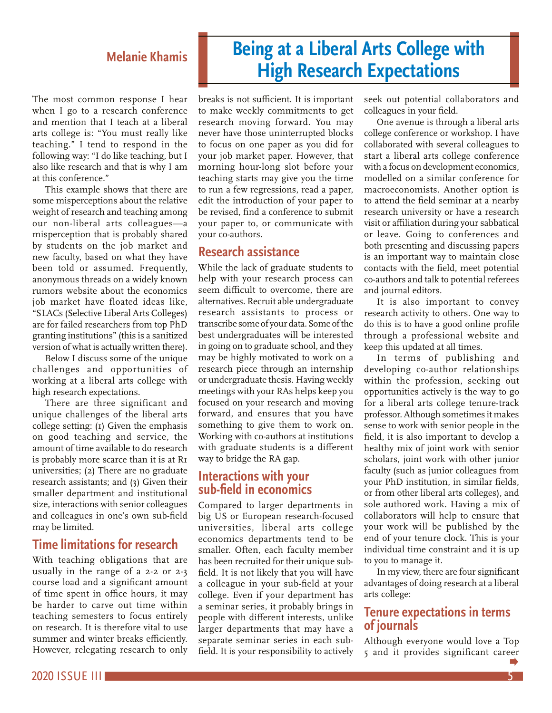# **Melanie Khamis**

<span id="page-4-0"></span>The most common response I hear when I go to a research conference and mention that I teach at a liberal arts college is: "You must really like teaching." I tend to respond in the following way: "I do like teaching, but I also like research and that is why I am at this conference."

This example shows that there are some misperceptions about the relative weight of research and teaching among our non-liberal arts colleagues—a misperception that is probably shared by students on the job market and new faculty, based on what they have been told or assumed. Frequently, anonymous threads on a widely known rumors website about the economics job market have floated ideas like, "SLACs (Selective Liberal Arts Colleges) are for failed researchers from top PhD granting institutions" (this is a sanitized version of what is actually written there).

Below I discuss some of the unique challenges and opportunities of working at a liberal arts college with high research expectations.

There are three significant and unique challenges of the liberal arts college setting: (1) Given the emphasis on good teaching and service, the amount of time available to do research is probably more scarce than it is at R1 universities; (2) There are no graduate research assistants; and (3) Given their smaller department and institutional size, interactions with senior colleagues and colleagues in one's own sub-field may be limited.

# **Time limitations for research**

With teaching obligations that are usually in the range of a 2-2 or 2-3 course load and a significant amount of time spent in office hours, it may be harder to carve out time within teaching semesters to focus entirely on research. It is therefore vital to use summer and winter breaks efficiently. However, relegating research to only

breaks is not sufficient. It is important to make weekly commitments to get research moving forward. You may never have those uninterrupted blocks to focus on one paper as you did for your job market paper. However, that morning hour-long slot before your teaching starts may give you the time to run a few regressions, read a paper, edit the introduction of your paper to be revised, find a conference to submit your paper to, or communicate with your co-authors.

# **Research assistance**

While the lack of graduate students to help with your research process can seem difficult to overcome, there are alternatives. Recruit able undergraduate research assistants to process or transcribe some of your data. Some of the best undergraduates will be interested in going on to graduate school, and they may be highly motivated to work on a research piece through an internship or undergraduate thesis. Having weekly meetings with your RAs helps keep you focused on your research and moving forward, and ensures that you have something to give them to work on. Working with co-authors at institutions with graduate students is a different way to bridge the RA gap.

# **Interactions with your sub-field in economics**

Compared to larger departments in big US or European research-focused universities, liberal arts college economics departments tend to be smaller. Often, each faculty member has been recruited for their unique subfield. It is not likely that you will have a colleague in your sub-field at your college. Even if your department has a seminar series, it probably brings in people with different interests, unlike larger departments that may have a separate seminar series in each subfield. It is your responsibility to actively seek out potential collaborators and colleagues in your field.

One avenue is through a liberal arts college conference or workshop. I have collaborated with several colleagues to start a liberal arts college conference with a focus on development economics, modelled on a similar conference for macroeconomists. Another option is to attend the field seminar at a nearby research university or have a research visit or affiliation during your sabbatical or leave. Going to conferences and both presenting and discussing papers is an important way to maintain close contacts with the field, meet potential co-authors and talk to potential referees and journal editors.

It is also important to convey research activity to others. One way to do this is to have a good online profile through a professional website and keep this updated at all times.

In terms of publishing and developing co-author relationships within the profession, seeking out opportunities actively is the way to go for a liberal arts college tenure-track professor. Although sometimes it makes sense to work with senior people in the field, it is also important to develop a healthy mix of joint work with senior scholars, joint work with other junior faculty (such as junior colleagues from your PhD institution, in similar fields, or from other liberal arts colleges), and sole authored work. Having a mix of collaborators will help to ensure that your work will be published by the end of your tenure clock. This is your individual time constraint and it is up to you to manage it.

In my view, there are four significant advantages of doing research at a liberal arts college:

# **Tenure expectations in terms of journals**

Although everyone would love a Top 5 and it provides significant car[eer](#page-5-0) 

# **Being at a Liberal Arts College with High Research Expectations**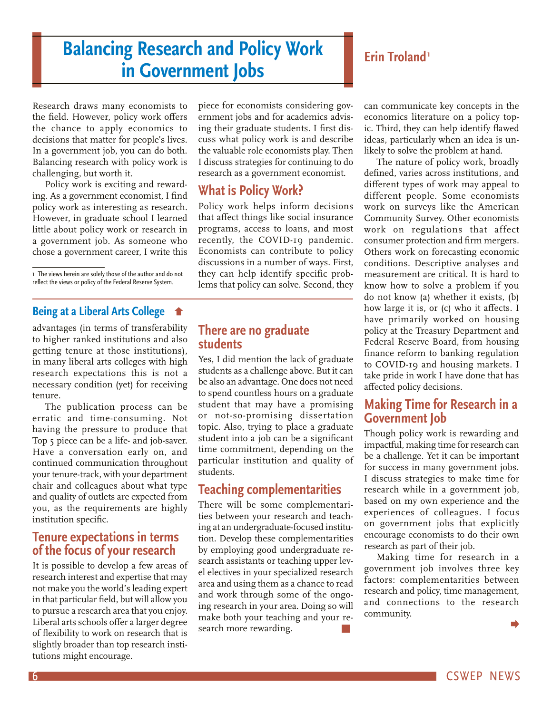# <span id="page-5-0"></span>**Balancing Research and Policy Work in Government Jobs**

Research draws many economists to the field. However, policy work offers the chance to apply economics to decisions that matter for people's lives. In a government job, you can do both. Balancing research with policy work is challenging, but worth it.

Policy work is exciting and rewarding. As a government economist, I find policy work as interesting as research. However, in graduate school I learned little about policy work or research in a government job. As someone who chose a government career, I write this

1 The views herein are solely those of the author and do not reflect the views or policy of the Federal Reserve System.

# **[Being at a Liberal Arts College](#page-4-0)**

advantages (in terms of transferability to higher ranked institutions and also getting tenure at those institutions), in many liberal arts colleges with high research expectations this is not a necessary condition (yet) for receiving tenure.

The publication process can be erratic and time-consuming. Not having the pressure to produce that Top 5 piece can be a life- and job-saver. Have a conversation early on, and continued communication throughout your tenure-track, with your department chair and colleagues about what type and quality of outlets are expected from you, as the requirements are highly institution specific.

# **Tenure expectations in terms of the focus of your research**

It is possible to develop a few areas of research interest and expertise that may not make you the world's leading expert in that particular field, but will allow you to pursue a research area that you enjoy. Liberal arts schools offer a larger degree of flexibility to work on research that is slightly broader than top research institutions might encourage.

piece for economists considering government jobs and for academics advising their graduate students. I first discuss what policy work is and describe the valuable role economists play. Then I discuss strategies for continuing to do research as a government economist.

# **What is Policy Work?**

Policy work helps inform decisions that affect things like social insurance programs, access to loans, and most recently, the COVID-19 pandemic. Economists can contribute to policy discussions in a number of ways. First, they can help identify specific problems that policy can solve. Second, they

# **There are no graduate students**

Yes, I did mention the lack of graduate students as a challenge above. But it can be also an advantage. One does not need to spend countless hours on a graduate student that may have a promising or not-so-promising dissertation topic. Also, trying to place a graduate student into a job can be a significant time commitment, depending on the particular institution and quality of students.

# **Teaching complementarities**

There will be some complementarities between your research and teaching at an undergraduate-focused institution. Develop these complementarities by employing good undergraduate research assistants or teaching upper level electives in your specialized research area and using them as a chance to read and work through some of the ongoing research in your area. Doing so will make both your teaching and your research more rewarding.

# **Erin Troland1**

can communicate key concepts in the economics literature on a policy topic. Third, they can help identify flawed ideas, particularly when an idea is unlikely to solve the problem at hand.

The nature of policy work, broadly defined, varies across institutions, and different types of work may appeal to different people. Some economists work on surveys like the American Community Survey. Other economists work on regulations that affect consumer protection and firm mergers. Others work on forecasting economic conditions. Descriptive analyses and measurement are critical. It is hard to know how to solve a problem if you do not know (a) whether it exists, (b) how large it is, or (c) who it affects. I have primarily worked on housing policy at the Treasury Department and Federal Reserve Board, from housing finance reform to banking regulation to COVID-19 and housing markets. I take pride in work I have done that has affected policy decisions.

# **Making Time for Research in a Government Job**

Though policy work is rewarding and impactful, making time for research can be a challenge. Yet it can be important for success in many government jobs. I discuss strategies to make time for research while in a government job, based on my own experience and the experiences of colleagues. I focus on government jobs that explicitly encourage economists to do their own research as part of their job.

Making time for research in a government job involves three key factors: complementarities between research and policy, time management, and connections to the research community.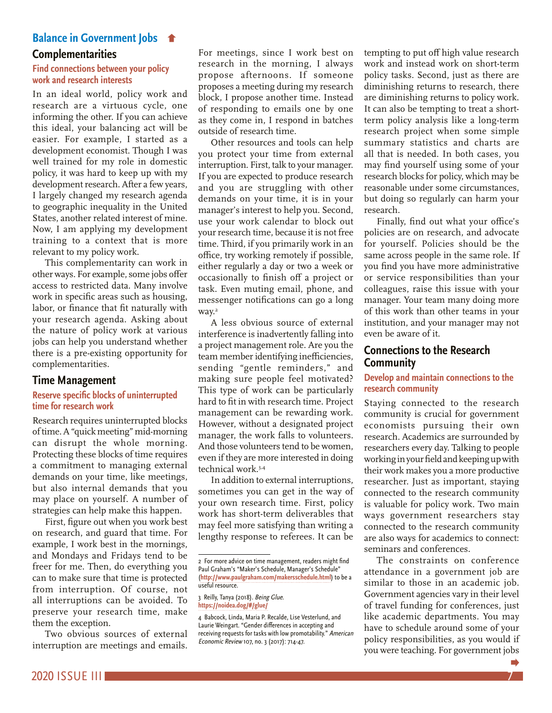# <span id="page-6-0"></span>**[Balance in Government Jobs](#page-5-0)**

### **Complementarities**

#### **Find connections between your policy work and research interests**

In an ideal world, policy work and research are a virtuous cycle, one informing the other. If you can achieve this ideal, your balancing act will be easier. For example, I started as a development economist. Though I was well trained for my role in domestic policy, it was hard to keep up with my development research. After a few years, I largely changed my research agenda to geographic inequality in the United States, another related interest of mine. Now, I am applying my development training to a context that is more relevant to my policy work.

This complementarity can work in other ways. For example, some jobs offer access to restricted data. Many involve work in specific areas such as housing, labor, or finance that fit naturally with your research agenda. Asking about the nature of policy work at various jobs can help you understand whether there is a pre-existing opportunity for complementarities.

# **Time Management**

#### **Reserve specific blocks of uninterrupted time for research work**

Research requires uninterrupted blocks of time. A "quick meeting" mid-morning can disrupt the whole morning. Protecting these blocks of time requires a commitment to managing external demands on your time, like meetings, but also internal demands that you may place on yourself. A number of strategies can help make this happen.

First, figure out when you work best on research, and guard that time. For example, I work best in the mornings, and Mondays and Fridays tend to be freer for me. Then, do everything you can to make sure that time is protected from interruption. Of course, not all interruptions can be avoided. To preserve your research time, make them the exception.

Two obvious sources of external interruption are meetings and emails.

For meetings, since I work best on research in the morning, I always propose afternoons. If someone proposes a meeting during my research block, I propose another time. Instead of responding to emails one by one as they come in, I respond in batches outside of research time.

Other resources and tools can help you protect your time from external interruption. First, talk to your manager. If you are expected to produce research and you are struggling with other demands on your time, it is in your manager's interest to help you. Second, use your work calendar to block out your research time, because it is not free time. Third, if you primarily work in an office, try working remotely if possible, either regularly a day or two a week or occasionally to finish off a project or task. Even muting email, phone, and messenger notifications can go a long way.<sup>2</sup>

A less obvious source of external interference is inadvertently falling into a project management role. Are you the team member identifying inefficiencies, sending "gentle reminders," and making sure people feel motivated? This type of work can be particularly hard to fit in with research time. Project management can be rewarding work. However, without a designated project manager, the work falls to volunteers. And those volunteers tend to be women, even if they are more interested in doing technical work.3,4

In addition to external interruptions, sometimes you can get in the way of your own research time. First, policy work has short-term deliverables that may feel more satisfying than writing a lengthy response to referees. It can be

3 Reilly, Tanya (2018). Being Glue. **https://noidea.dog/#/glue/**

tempting to put off high value research work and instead work on short-term policy tasks. Second, just as there are diminishing returns to research, there are diminishing returns to policy work. It can also be tempting to treat a shortterm policy analysis like a long-term research project when some simple summary statistics and charts are all that is needed. In both cases, you may find yourself using some of your research blocks for policy, which may be reasonable under some circumstances, but doing so regularly can harm your research.

Finally, find out what your office's policies are on research, and advocate for yourself. Policies should be the same across people in the same role. If you find you have more administrative or service responsibilities than your colleagues, raise this issue with your manager. Your team many doing more of this work than other teams in your institution, and your manager may not even be aware of it.

# **Connections to the Research Community**

### **Develop and maintain connections to the research community**

Staying connected to the research community is crucial for government economists pursuing their own research. Academics are surrounded by researchers every day. Talking to people working in your field and keeping up with their work makes you a more productive researcher. Just as important, staying connected to the research community is valuable for policy work. Two main ways government researchers stay connected to the research community are also ways for academics to connect: seminars and conferences.

The constraints on conference attendance in a government job are similar to those in an academic job. Government agencies vary in their level of travel funding for conferences, just like academic departments. You may have to schedule around some of your policy responsibilities, as you would if you were teaching. For government jobs

<sup>2</sup> For more advice on time management, readers might find Paul Graham's "Maker's Schedule, Manager's Schedule" (**<http://www.paulgraham.com/makersschedule.html>**) to be a useful resource.

<sup>4</sup> Babcock, Linda, Maria P. Recalde, Lise Vesterlund, and Laurie Weingart. "Gender differences in accepting and receiving requests for tasks with low promotability." American Economic Review 107, no. 3 (2017): 714-47.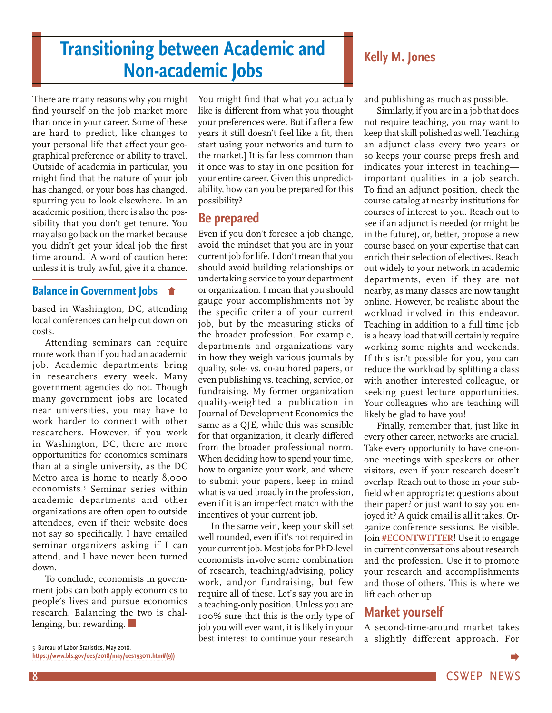# <span id="page-7-0"></span>**Transitioning between Academic and Non-academic Jobs Kelly M. Jones**

There are many reasons why you might find yourself on the job market more than once in your career. Some of these are hard to predict, like changes to your personal life that affect your geographical preference or ability to travel. Outside of academia in particular, you might find that the nature of your job has changed, or your boss has changed, spurring you to look elsewhere. In an academic position, there is also the possibility that you don't get tenure. You may also go back on the market because you didn't get your ideal job the first time around. [A word of caution here: unless it is truly awful, give it a chance.

# **[Balance in Government Jobs](#page-6-0)**

based in Washington, DC, attending local conferences can help cut down on costs.

Attending seminars can require more work than if you had an academic job. Academic departments bring in researchers every week. Many government agencies do not. Though many government jobs are located near universities, you may have to work harder to connect with other researchers. However, if you work in Washington, DC, there are more opportunities for economics seminars than at a single university, as the DC Metro area is home to nearly 8,000 economists.5 Seminar series within academic departments and other organizations are often open to outside attendees, even if their website does not say so specifically. I have emailed seminar organizers asking if I can attend, and I have never been turned down.

To conclude, economists in government jobs can both apply economics to people's lives and pursue economics research. Balancing the two is challenging, but rewarding.

5 Bureau of Labor Statistics, May 2018.

**https://www.bls.gov/oes/2018/may/oes193011.htm#(9))**

You might find that what you actually like is different from what you thought your preferences were. But if after a few years it still doesn't feel like a fit, then start using your networks and turn to the market.] It is far less common than it once was to stay in one position for your entire career. Given this unpredictability, how can you be prepared for this possibility?

# **Be prepared**

Even if you don't foresee a job change, avoid the mindset that you are in your current job for life. I don't mean that you should avoid building relationships or undertaking service to your department or organization. I mean that you should gauge your accomplishments not by the specific criteria of your current job, but by the measuring sticks of the broader profession. For example, departments and organizations vary in how they weigh various journals by quality, sole- vs. co-authored papers, or even publishing vs. teaching, service, or fundraising. My former organization quality-weighted a publication in Journal of Development Economics the same as a QJE; while this was sensible for that organization, it clearly differed from the broader professional norm. When deciding how to spend your time, how to organize your work, and where to submit your papers, keep in mind what is valued broadly in the profession, even if it is an imperfect match with the incentives of your current job.

In the same vein, keep your skill set well rounded, even if it's not required in your current job. Most jobs for PhD-level economists involve some combination of research, teaching/advising, policy work, and/or fundraising, but few require all of these. Let's say you are in a teaching-only position. Unless you are 100% sure that this is the only type of job you will ever want, it is likely in your best interest to continue your research

and publishing as much as possible.

Similarly, if you are in a job that does not require teaching, you may want to keep that skill polished as well. Teaching an adjunct class every two years or so keeps your course preps fresh and indicates your interest in teaching important qualities in a job search. To find an adjunct position, check the course catalog at nearby institutions for courses of interest to you. Reach out to see if an adjunct is needed (or might be in the future), or, better, propose a new course based on your expertise that can enrich their selection of electives. Reach out widely to your network in academic departments, even if they are not nearby, as many classes are now taught online. However, be realistic about the workload involved in this endeavor. Teaching in addition to a full time job is a heavy load that will certainly require working some nights and weekends. If this isn't possible for you, you can reduce the workload by splitting a class with another interested colleague, or seeking guest lecture opportunities. Your colleagues who are teaching will likely be glad to have you!

Finally, remember that, just like in every other career, networks are crucial. Take every opportunity to have one-onone meetings with speakers or other visitors, even if your research doesn't overlap. Reach out to those in your subfield when appropriate: questions about their paper? or just want to say you enjoyed it? A quick email is all it takes. Organize conference sessions. Be visible. Join **[#ECONTWITTER](https://twitter.com/hashtag/econtwitter)**! Use it to engage in current conversations about research and the profession. Use it to promote your research and accomplishments and those of others. This is where we lift each other up.

# **Market yourself**

A second-time-around market takes a slightly different approach. For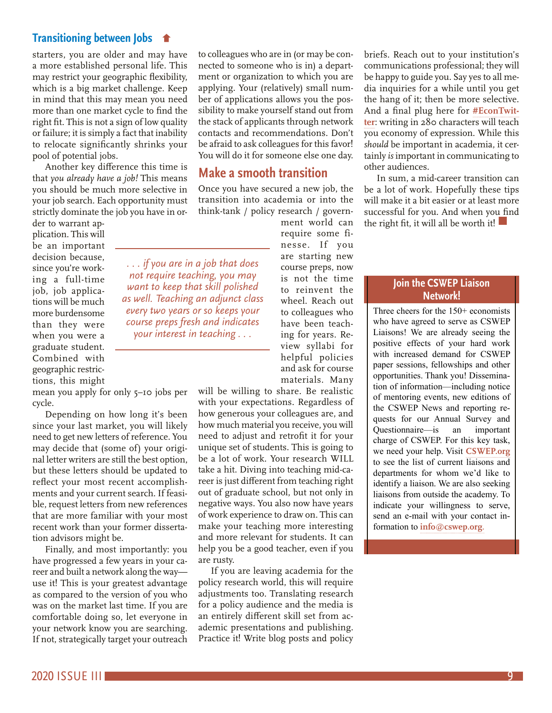# **[Transitioning between Jobs](#page-7-0)**

starters, you are older and may have a more established personal life. This may restrict your geographic flexibility, which is a big market challenge. Keep in mind that this may mean you need more than one market cycle to find the right fit. This is not a sign of low quality or failure; it is simply a fact that inability to relocate significantly shrinks your pool of potential jobs.

Another key difference this time is that *you already have a job!* This means you should be much more selective in your job search. Each opportunity must strictly dominate the job you have in or-

der to warrant application. This will be an important decision because, since you're working a full-time job, job applications will be much more burdensome than they were when you were a graduate student. Combined with geographic restrictions, this might

mean you apply for only 5–10 jobs per cycle.

Depending on how long it's been since your last market, you will likely need to get new letters of reference. You may decide that (some of) your original letter writers are still the best option, but these letters should be updated to reflect your most recent accomplishments and your current search. If feasible, request letters from new references that are more familiar with your most recent work than your former dissertation advisors might be.

Finally, and most importantly: you have progressed a few years in your career and built a network along the way use it! This is your greatest advantage as compared to the version of you who was on the market last time. If you are comfortable doing so, let everyone in your network know you are searching. If not, strategically target your outreach to colleagues who are in (or may be connected to someone who is in) a department or organization to which you are applying. Your (relatively) small number of applications allows you the possibility to make yourself stand out from the stack of applicants through network contacts and recommendations. Don't be afraid to ask colleagues for this favor! You will do it for someone else one day.

# **Make a smooth transition**

Once you have secured a new job, the transition into academia or into the think-tank / policy research / govern-

*. . . if you are in a job that does not require teaching, you may want to keep that skill polished as well. Teaching an adjunct class every two years or so keeps your course preps fresh and indicates your interest in teaching . . .*

ment world can require some finesse. If you are starting new course preps, now is not the time to reinvent the wheel. Reach out to colleagues who have been teaching for years. Review syllabi for helpful policies and ask for course materials. Many

will be willing to share. Be realistic with your expectations. Regardless of how generous your colleagues are, and how much material you receive, you will need to adjust and retrofit it for your unique set of students. This is going to be a lot of work. Your research WILL take a hit. Diving into teaching mid-career is just different from teaching right out of graduate school, but not only in negative ways. You also now have years of work experience to draw on. This can make your teaching more interesting and more relevant for students. It can help you be a good teacher, even if you are rusty.

If you are leaving academia for the policy research world, this will require adjustments too. Translating research for a policy audience and the media is an entirely different skill set from academic presentations and publishing. Practice it! Write blog posts and policy briefs. Reach out to your institution's communications professional; they will be happy to guide you. Say yes to all media inquiries for a while until you get the hang of it; then be more selective. And a final plug here for **[#EconTwit](https://twitter.com/hashtag/econtwitter)[ter](https://twitter.com/hashtag/econtwitter)**: writing in 280 characters will teach you economy of expression. While this *should* be important in academia, it certainly *is* important in communicating to other audiences.

In sum, a mid-career transition can be a lot of work. Hopefully these tips will make it a bit easier or at least more successful for you. And when you find the right fit, it will all be worth it!

### **Join the CSWEP Liaison Network!**

Three cheers for the 150+ economists who have agreed to serve as CSWEP Liaisons! We are already seeing the positive effects of your hard work with increased demand for CSWEP paper sessions, fellowships and other opportunities. Thank you! Dissemination of information—including notice of mentoring events, new editions of the CSWEP News and reporting requests for our Annual Survey and Questionnaire—is an important charge of CSWEP. For this key task, we need your help. Visit **[CSWEP.org](http://cswep.org/)** to see the list of current liaisons and departments for whom we'd like to identify a liaison. We are also seeking liaisons from outside the academy. To indicate your willingness to serve, send an e-mail with your contact information to **[info@cswep.org](mailto:info@cswep.org.)**.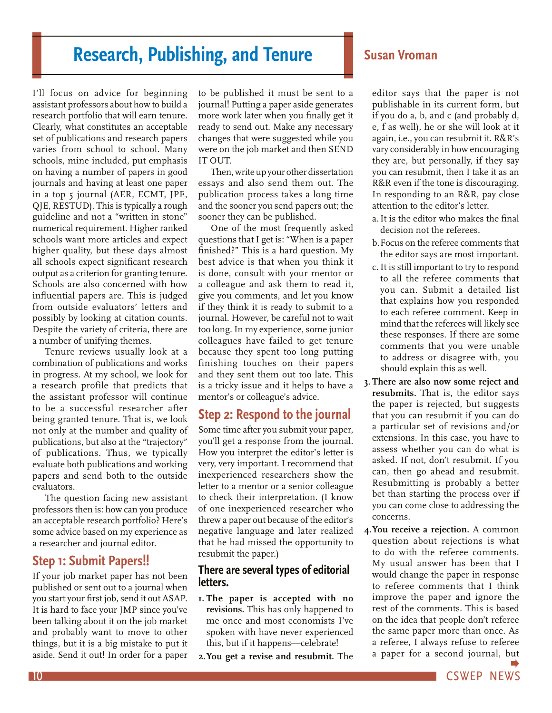# <span id="page-9-0"></span>**Research, Publishing, and Tenure Susan Vroman**

I'll focus on advice for beginning assistant professors about how to build a research portfolio that will earn tenure. Clearly, what constitutes an acceptable set of publications and research papers varies from school to school. Many schools, mine included, put emphasis on having a number of papers in good journals and having at least one paper in a top 5 journal (AER, ECMT, JPE, QJE, RESTUD). This is typically a rough guideline and not a "written in stone" numerical requirement. Higher ranked schools want more articles and expect higher quality, but these days almost all schools expect significant research output as a criterion for granting tenure. Schools are also concerned with how influential papers are. This is judged from outside evaluators' letters and possibly by looking at citation counts. Despite the variety of criteria, there are a number of unifying themes.

Tenure reviews usually look at a combination of publications and works in progress. At my school, we look for a research profile that predicts that the assistant professor will continue to be a successful researcher after being granted tenure. That is, we look not only at the number and quality of publications, but also at the "trajectory" of publications. Thus, we typically evaluate both publications and working papers and send both to the outside evaluators.

The question facing new assistant professors then is: how can you produce an acceptable research portfolio? Here's some advice based on my experience as a researcher and journal editor.

# **Step 1: Submit Papers!!**

If your job market paper has not been published or sent out to a journal when you start your first job, send it out ASAP. It is hard to face your JMP since you've been talking about it on the job market and probably want to move to other things, but it is a big mistake to put it aside. Send it out! In order for a paper

to be published it must be sent to a journal! Putting a paper aside generates more work later when you finally get it ready to send out. Make any necessary changes that were suggested while you were on the job market and then SEND IT OUT.

Then, write up your other dissertation essays and also send them out. The publication process takes a long time and the sooner you send papers out; the sooner they can be published.

One of the most frequently asked questions that I get is: "When is a paper finished?" This is a hard question. My best advice is that when you think it is done, consult with your mentor or a colleague and ask them to read it, give you comments, and let you know if they think it is ready to submit to a journal. However, be careful not to wait too long. In my experience, some junior colleagues have failed to get tenure because they spent too long putting finishing touches on their papers and they sent them out too late. This is a tricky issue and it helps to have a mentor's or colleague's advice.

# **Step 2: Respond to the journal**

Some time after you submit your paper, you'll get a response from the journal. How you interpret the editor's letter is very, very important. I recommend that inexperienced researchers show the letter to a mentor or a senior colleague to check their interpretation. (I know of one inexperienced researcher who threw a paper out because of the editor's negative language and later realized that he had missed the opportunity to resubmit the paper.)

# **There are several types of editorial letters.**

- **1. The paper is accepted with no revisions.** This has only happened to me once and most economists I've spoken with have never experienced this, but if it happens—celebrate!
- **2.You get a revise and resubmit.** The

editor says that the paper is not publishable in its current form, but if you do a, b, and c (and probably d, e, f as well), he or she will look at it again, i.e., you can resubmit it. R&R's vary considerably in how encouraging they are, but personally, if they say you can resubmit, then I take it as an R&R even if the tone is discouraging. In responding to an R&R, pay close attention to the editor's letter.

- a.It is the editor who makes the final decision not the referees.
- b.Focus on the referee comments that the editor says are most important.
- c.It is still important to try to respond to all the referee comments that you can. Submit a detailed list that explains how you responded to each referee comment. Keep in mind that the referees will likely see these responses. If there are some comments that you were unable to address or disagree with, you should explain this as well.
- **3. There are also now some reject and resubmits.** That is, the editor says the paper is rejected, but suggests that you can resubmit if you can do a particular set of revisions and/or extensions. In this case, you have to assess whether you can do what is asked. If not, don't resubmit. If you can, then go ahead and resubmit. Resubmitting is probably a better bet than starting the process over if you can come close to addressing the concerns.
- **4.You receive a rejection.** A common question about rejections is what to do with the referee comments. My usual answer has been that I would change the paper in response to referee comments that I think improve the paper and ignore the rest of the comments. This is based on the idea that people don't referee the same paper more than once. As a referee, I always refuse to referee a paper for a second journal, [but](#page-10-0)

10 **CSWEP NEWS**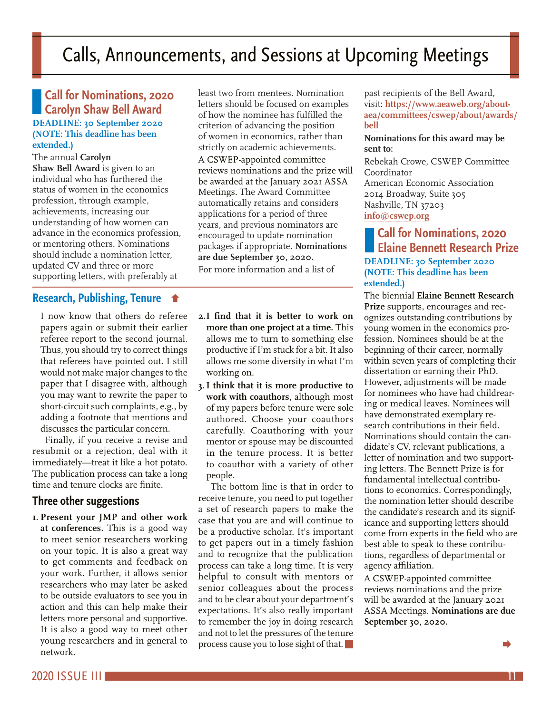# <span id="page-10-0"></span>Calls, Announcements, and Sessions at Upcoming Meetings

**Call for Nominations, 2020 Carolyn Shaw Bell Award DEADLINE: 30 September 2020 (NOTE: This deadline has been extended.)**

The annual **Carolyn Shaw Bell Award** is given to an individual who has furthered the status of women in the economics profession, through example, achievements, increasing our understanding of how women can advance in the economics profession, or mentoring others. Nominations should include a nomination letter, updated CV and three or more supporting letters, with preferably at

# **[Research, Publishing, Tenure](#page-9-0)**

I now know that others do referee papers again or submit their earlier referee report to the second journal. Thus, you should try to correct things that referees have pointed out. I still would not make major changes to the paper that I disagree with, although you may want to rewrite the paper to short-circuit such complaints, e.g., by adding a footnote that mentions and discusses the particular concern.

Finally, if you receive a revise and resubmit or a rejection, deal with it immediately—treat it like a hot potato. The publication process can take a long time and tenure clocks are finite.

# **Three other suggestions**

**1. Present your JMP and other work at conferences.** This is a good way to meet senior researchers working on your topic. It is also a great way to get comments and feedback on your work. Further, it allows senior researchers who may later be asked to be outside evaluators to see you in action and this can help make their letters more personal and supportive. It is also a good way to meet other young researchers and in general to network.

least two from mentees. Nomination letters should be focused on examples of how the nominee has fulfilled the criterion of advancing the position of women in economics, rather than strictly on academic achievements. A CSWEP-appointed committee reviews nominations and the prize will be awarded at the January 2021 ASSA Meetings. The Award Committee automatically retains and considers applications for a period of three years, and previous nominators are encouraged to update nomination packages if appropriate. **Nominations are due September 30, 2020.** 

For more information and a list of

- **2.I find that it is better to work on more than one project at a time.** This allows me to turn to something else productive if I'm stuck for a bit. It also allows me some diversity in what I'm working on.
- **3.I think that it is more productive to work with coauthors,** although most of my papers before tenure were sole authored. Choose your coauthors carefully. Coauthoring with your mentor or spouse may be discounted in the tenure process. It is better to coauthor with a variety of other people.

The bottom line is that in order to receive tenure, you need to put together a set of research papers to make the case that you are and will continue to be a productive scholar. It's important to get papers out in a timely fashion and to recognize that the publication process can take a long time. It is very helpful to consult with mentors or senior colleagues about the process and to be clear about your department's expectations. It's also really important to remember the joy in doing research and not to let the pressures of the tenure process cause you to lose sight of that. past recipients of the Bell Award, visit: **[https://www.aeaweb.org/about](https://www.aeaweb.org/about-aea/committees/cswep/about/awards/bell)[aea/committees/cswep/about/awards/](https://www.aeaweb.org/about-aea/committees/cswep/about/awards/bell) [bell](https://www.aeaweb.org/about-aea/committees/cswep/about/awards/bell)**

#### **Nominations for this award may be sent to:**

Rebekah Crowe, CSWEP Committee Coordinator American Economic Association 2014 Broadway, Suite 305 Nashville, TN 37203 **[info@cswep.org](mailto:info@cswep.org)**

**Call for Nominations, 2020 Elaine Bennett Research Prize DEADLINE: 30 September 2020 (NOTE: This deadline has been extended.)**

The biennial **Elaine Bennett Research Prize** supports, encourages and recognizes outstanding contributions by young women in the economics profession. Nominees should be at the beginning of their career, normally within seven years of completing their dissertation or earning their PhD. However, adjustments will be made for nominees who have had childrearing or medical leaves. Nominees will have demonstrated exemplary research contributions in their field. Nominations should contain the candidate's CV, relevant publications, a letter of nomination and two supporting letters. The Bennett Prize is for fundamental intellectual contributions to economics. Correspondingly, the nomination letter should describe the candidate's research and its significance and supporting letters should come from experts in the field who are best able to speak to these contributions, regardless of departmental or agency affiliation.

A CSWEP-appointed committee reviews nominations and the prize will be awarded at the January 2021 ASSA Meetings. **Nominations are due September 30, 2020.**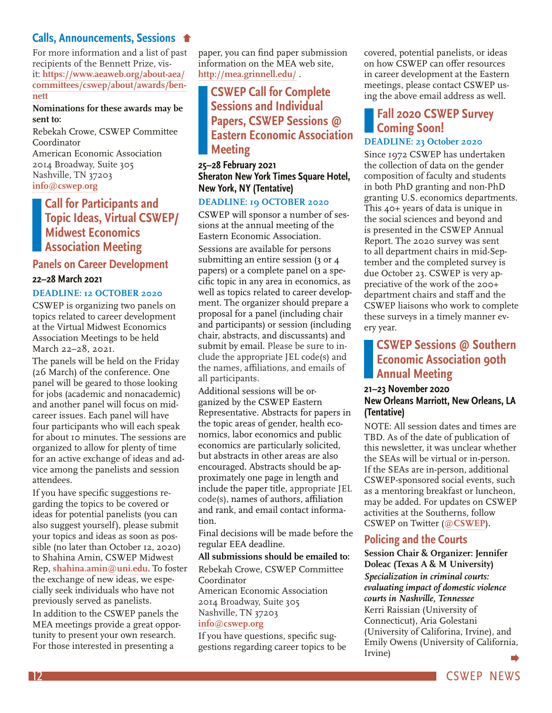# <span id="page-11-0"></span>**[Calls, Announcements, Sessions](#page-10-0)**

For more information and a list of past recipients of the Bennett Prize, visit: **[https://www.aeaweb.org/about-aea/](https://www.aeaweb.org/about-aea/committees/cswep/about/awards/bennett) [committees/cswep/about/awards/ben](https://www.aeaweb.org/about-aea/committees/cswep/about/awards/bennett)[nett](https://www.aeaweb.org/about-aea/committees/cswep/about/awards/bennett)**

**Nominations for these awards may be sent to:**

Rebekah Crowe, CSWEP Committee Coordinator American Economic Association 2014 Broadway, Suite 305 Nashville, TN 37203 **[info@cswep.org](mailto:info@cswep.org)**

# **Call for Participants and Topic Ideas, Virtual CSWEP/ Midwest Economics Association Meeting**

#### **Panels on Career Development**

#### **22–28 March 2021**

#### **DEADLINE: 12 OCTOBER 2020**

CSWEP is organizing two panels on topics related to career development at the Virtual Midwest Economics Association Meetings to be held March 22–28, 2021.

The panels will be held on the Friday (26 March) of the conference. One panel will be geared to those looking for jobs (academic and nonacademic) and another panel will focus on midcareer issues. Each panel will have four participants who will each speak for about 10 minutes. The sessions are organized to allow for plenty of time for an active exchange of ideas and advice among the panelists and session attendees.

If you have specific suggestions regarding the topics to be covered or ideas for potential panelists (you can also suggest yourself), please submit your topics and ideas as soon as possible (no later than October 12, 2020) to Shahina Amin, CSWEP Midwest Rep, **[shahina.amin@uni.edu](mailto:shahina.amin@uni.edu)**. To foster the exchange of new ideas, we especially seek individuals who have not previously served as panelists. In addition to the CSWEP panels the MEA meetings provide a great opportunity to present your own research. For those interested in presenting a

paper, you can find paper submission information on the MEA web site, **<http://mea.grinnell.edu/>** .

# **CSWEP Call for Complete Sessions and Individual Papers, CSWEP Sessions @ Eastern Economic Association Meeting**

# **25–28 February 2021 Sheraton New York Times Square Hotel, New York, NY (Tentative)**

#### **DEADLINE: 19 OCTOBER 2020**

CSWEP will sponsor a number of sessions at the annual meeting of the Eastern Economic Association. Sessions are available for persons submitting an entire session (3 or 4 papers) or a complete panel on a specific topic in any area in economics, as well as topics related to career development. The organizer should prepare a proposal for a panel (including chair and participants) or session (including chair, abstracts, and discussants) and submit by email. Please be sure to include the appropriate JEL code(s) and the names, affiliations, and emails of all participants.

Additional sessions will be organized by the CSWEP Eastern Representative. Abstracts for papers in the topic areas of gender, health economics, labor economics and public economics are particularly solicited, but abstracts in other areas are also encouraged. Abstracts should be approximately one page in length and include the paper title, appropriate JEL code(s), names of authors, affiliation and rank, and email contact information.

Final decisions will be made before the regular EEA deadline.

#### **All submissions should be emailed to:**

Rebekah Crowe, CSWEP Committee Coordinator American Economic Association 2014 Broadway, Suite 305 Nashville, TN 37203 **[info@cswep.org](mailto:info@cswep.org)**

If you have questions, specific suggestions regarding career topics to be covered, potential panelists, or ideas on how CSWEP can offer resources in career development at the Eastern meetings, please contact CSWEP using the above email address as well.

# **Fall 2020 CSWEP Survey Coming Soon!**

# **DEADLINE: 23 October 2020**

Since 1972 CSWEP has undertaken the collection of data on the gender composition of faculty and students in both PhD granting and non-PhD granting U.S. economics departments. This 40+ years of data is unique in the social sciences and beyond and is presented in the CSWEP Annual Report. The 2020 survey was sent to all department chairs in mid-September and the completed survey is due October 23. CSWEP is very appreciative of the work of the 200+ department chairs and staff and the CSWEP liaisons who work to complete these surveys in a timely manner every year.

# **CSWEP Sessions @ Southern Economic Association 90th Annual Meeting**

### **21–23 November 2020 New Orleans Marriott, New Orleans, LA (Tentative)**

NOTE: All session dates and times are TBD. As of the date of publication of this newsletter, it was unclear whether the SEAs will be virtual or in-person. If the SEAs are in-person, additional CSWEP-sponsored social events, such as a mentoring breakfast or luncheon, may be added. For updates on CSWEP activities at the Southerns, follow CSWEP on Twitter (**[@CSWEP](https://twitter.com/AEACSWEP)**).

# **Policing and the Courts**

**Session Chair & Organizer: Jennifer Doleac (Texas A & M University)** *Specialization in criminal courts: evaluating impact of domestic violence courts in Nashville, Tennessee* Kerri Raissian (University of Connecticut), Aria Golestani (University of Califorina, Irvine), and Emily Owens (University of California, Irvine)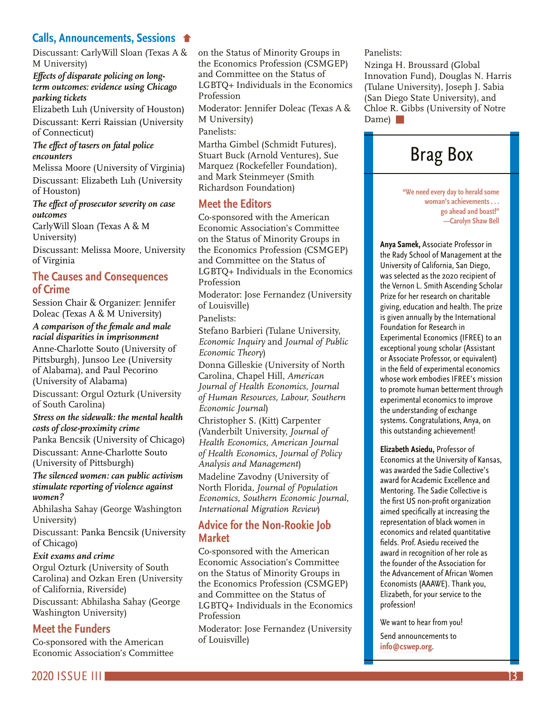# <span id="page-12-0"></span>**[Calls, Announcements, Sessions](#page-11-0)**

Discussant: CarlyWill Sloan (Texas A & M University)

#### *Effects of disparate policing on longterm outcomes: evidence using Chicago parking tickets*

Elizabeth Luh (University of Houston) Discussant: Kerri Raissian (University of Connecticut)

#### *The effect of tasers on fatal police encounters*

Melissa Moore (University of Virginia) Discussant: Elizabeth Luh (University of Houston)

#### *The effect of prosecutor severity on case outcomes*

CarlyWill Sloan (Texas A & M University)

Discussant: Melissa Moore, University of Virginia

# **The Causes and Consequences of Crime**

Session Chair & Organizer: Jennifer Doleac (Texas A & M University)

#### *A comparison of the female and male racial disparities in imprisonment* Anne-Charlotte Souto (University of Pittsburgh), Junsoo Lee (University of Alabama), and Paul Pecorino (University of Alabama)

Discussant: Orgul Ozturk (University of South Carolina)

#### *Stress on the sidewalk: the mental health costs of close-proximity crime*

Panka Bencsik (University of Chicago) Discussant: Anne-Charlotte Souto

(University of Pittsburgh)

#### *The silenced women: can public activism stimulate reporting of violence against women?*

Abhilasha Sahay (George Washington University)

Discussant: Panka Bencsik (University of Chicago)

### *Exit exams and crime*

Orgul Ozturk (University of South Carolina) and Ozkan Eren (University of California, Riverside)

Discussant: Abhilasha Sahay (George Washington University)

# **Meet the Funders**

Co-sponsored with the American Economic Association's Committee on the Status of Minority Groups in the Economics Profession (CSMGEP) and Committee on the Status of LGBTQ+ Individuals in the Economics Profession

Moderator: Jennifer Doleac (Texas A & M University)

Panelists:

Martha Gimbel (Schmidt Futures), Stuart Buck (Arnold Ventures), Sue Marquez (Rockefeller Foundation), and Mark Steinmeyer (Smith Richardson Foundation)

# **Meet the Editors**

Co-sponsored with the American Economic Association's Committee on the Status of Minority Groups in the Economics Profession (CSMGEP) and Committee on the Status of LGBTQ+ Individuals in the Economics Profession

Moderator: Jose Fernandez (University of Louisville)

Panelists:

Stefano Barbieri (Tulane University, *Economic Inquiry* and *Journal of Public Economic Theory*)

Donna Gilleskie (University of North Carolina, Chapel Hill, *American Journal of Health Economics*, *Journal of Human Resources, Labour, Southern Economic Journal*)

Christopher S. (Kitt) Carpenter (Vanderbilt University, *Journal of Health Economics*, *American Journal of Health Economics*, *Journal of Policy Analysis and Management*)

Madeline Zavodny (University of North Florida, *Journal of Population Economics*, *Southern Economic Journal*, *International Migration Review*)

# **Advice for the Non-Rookie Job Market**

Co-sponsored with the American Economic Association's Committee on the Status of Minority Groups in the Economics Profession (CSMGEP) and Committee on the Status of LGBTQ+ Individuals in the Economics Profession

Moderator: Jose Fernandez (University of Louisville)

Panelists:

Nzinga H. Broussard (Global Innovation Fund), Douglas N. Harris (Tulane University), Joseph J. Sabia (San Diego State University), and Chloe R. Gibbs (University of Notre Dame) **N** 

# Brag Box

**"We need every day to herald some woman's achievements . . . go ahead and boast!" —Carolyn Shaw Bell**

**Anya Samek,** Associate Professor in the Rady School of Management at the University of California, San Diego, was selected as the 2020 recipient of the Vernon L. Smith Ascending Scholar Prize for her research on charitable giving, education and health. The prize is given annually by the International Foundation for Research in Experimental Economics (IFREE) to an exceptional young scholar (Assistant or Associate Professor, or equivalent) in the field of experimental economics whose work embodies IFREE's mission to promote human betterment through experimental economics to improve the understanding of exchange systems. Congratulations, Anya, on this outstanding achievement!

**Elizabeth Asiedu,** Professor of Economics at the University of Kansas, was awarded the Sadie Collective's award for Academic Excellence and Mentoring. The Sadie Collective is the first US non-profit organization aimed specifically at increasing the representation of black women in economics and related quantitative fields. Prof. Asiedu received the award in recognition of her role as the founder of the Association for the Advancement of African Women Economists (AAAWE). Thank you, Elizabeth, for your service to the profession!

We want to hear from you!

Send announcements to **[info@cswep.org](mailto:info%40cswep.org?subject=)**.